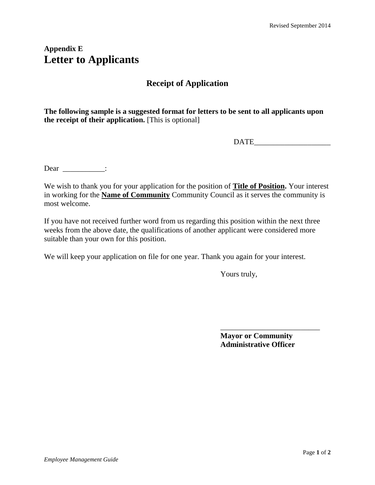# **Appendix E Letter to Applicants**

## **Receipt of Application**

**The following sample is a suggested format for letters to be sent to all applicants upon the receipt of their application.** [This is optional]

DATE\_\_\_\_\_\_\_\_\_\_\_\_\_\_\_\_\_\_\_\_

Dear \_\_\_\_\_\_\_\_\_\_\_:

We wish to thank you for your application for the position of **Title of Position.** Your interest in working for the **Name of Community** Community Council as it serves the community is most welcome.

If you have not received further word from us regarding this position within the next three weeks from the above date, the qualifications of another applicant were considered more suitable than your own for this position.

We will keep your application on file for one year. Thank you again for your interest.

Yours truly,

**Mayor or Community Administrative Officer**

\_\_\_\_\_\_\_\_\_\_\_\_\_\_\_\_\_\_\_\_\_\_\_\_\_\_